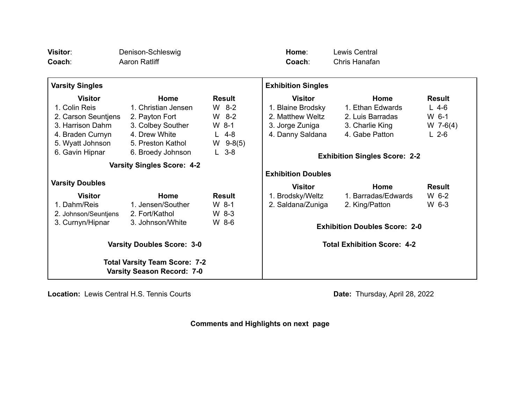| Visitor:<br>Coach:                                                        | Denison-Schleswig<br>Aaron Ratliff |               | Home:<br>Coach:                    | Lewis Central<br>Chris Hanafan       |               |
|---------------------------------------------------------------------------|------------------------------------|---------------|------------------------------------|--------------------------------------|---------------|
| <b>Varsity Singles</b>                                                    |                                    |               | <b>Exhibition Singles</b>          |                                      |               |
| <b>Visitor</b>                                                            | Home                               | <b>Result</b> | <b>Visitor</b>                     | Home                                 | <b>Result</b> |
| 1. Colin Reis                                                             | 1. Christian Jensen                | $W$ 8-2       | 1. Blaine Brodsky                  | 1. Ethan Edwards                     | $L$ 4-6       |
| 2. Carson Seuntjens                                                       | 2. Payton Fort                     | $W$ 8-2       | 2. Matthew Weltz                   | 2. Luis Barradas                     | $W_6$ -1      |
| 3. Harrison Dahm                                                          | 3. Colbey Souther                  | $W_8$ -1      | 3. Jorge Zuniga                    | 3. Charlie King                      | $W$ 7-6(4)    |
| 4. Braden Curnyn                                                          | 4. Drew White                      | $L$ 4-8       | 4. Danny Saldana                   | 4. Gabe Patton                       | $L$ 2-6       |
| 5. Wyatt Johnson                                                          | 5. Preston Kathol                  | $W$ 9-8(5)    |                                    |                                      |               |
| 6. Gavin Hipnar                                                           | 6. Broedy Johnson                  | $L$ 3-8       |                                    | <b>Exhibition Singles Score: 2-2</b> |               |
| <b>Varsity Singles Score: 4-2</b>                                         |                                    |               |                                    |                                      |               |
|                                                                           |                                    |               | <b>Exhibition Doubles</b>          |                                      |               |
| <b>Varsity Doubles</b>                                                    |                                    |               | <b>Visitor</b>                     | Home                                 | <b>Result</b> |
| <b>Visitor</b>                                                            | Home                               | <b>Result</b> | 1. Brodsky/Weltz                   | 1. Barradas/Edwards                  | W 6-2         |
| 1. Dahm/Reis                                                              | 1. Jensen/Souther                  | $W_8$ -1      | 2. Saldana/Zuniga                  | 2. King/Patton                       | W 6-3         |
| 2. Johnson/Seuntjens                                                      | 2. Fort/Kathol                     | $W_8-3$       |                                    |                                      |               |
| 3. Curnyn/Hipnar                                                          | 3. Johnson/White                   | W 8-6         |                                    | <b>Exhibition Doubles Score: 2-0</b> |               |
|                                                                           |                                    |               |                                    |                                      |               |
| <b>Varsity Doubles Score: 3-0</b>                                         |                                    |               | <b>Total Exhibition Score: 4-2</b> |                                      |               |
| <b>Total Varsity Team Score: 7-2</b><br><b>Varsity Season Record: 7-0</b> |                                    |               |                                    |                                      |               |

**Location:** Lewis Central H.S. Tennis Courts **Date: Date:** Thursday, April 28, 2022

**Comments and Highlights on next page**